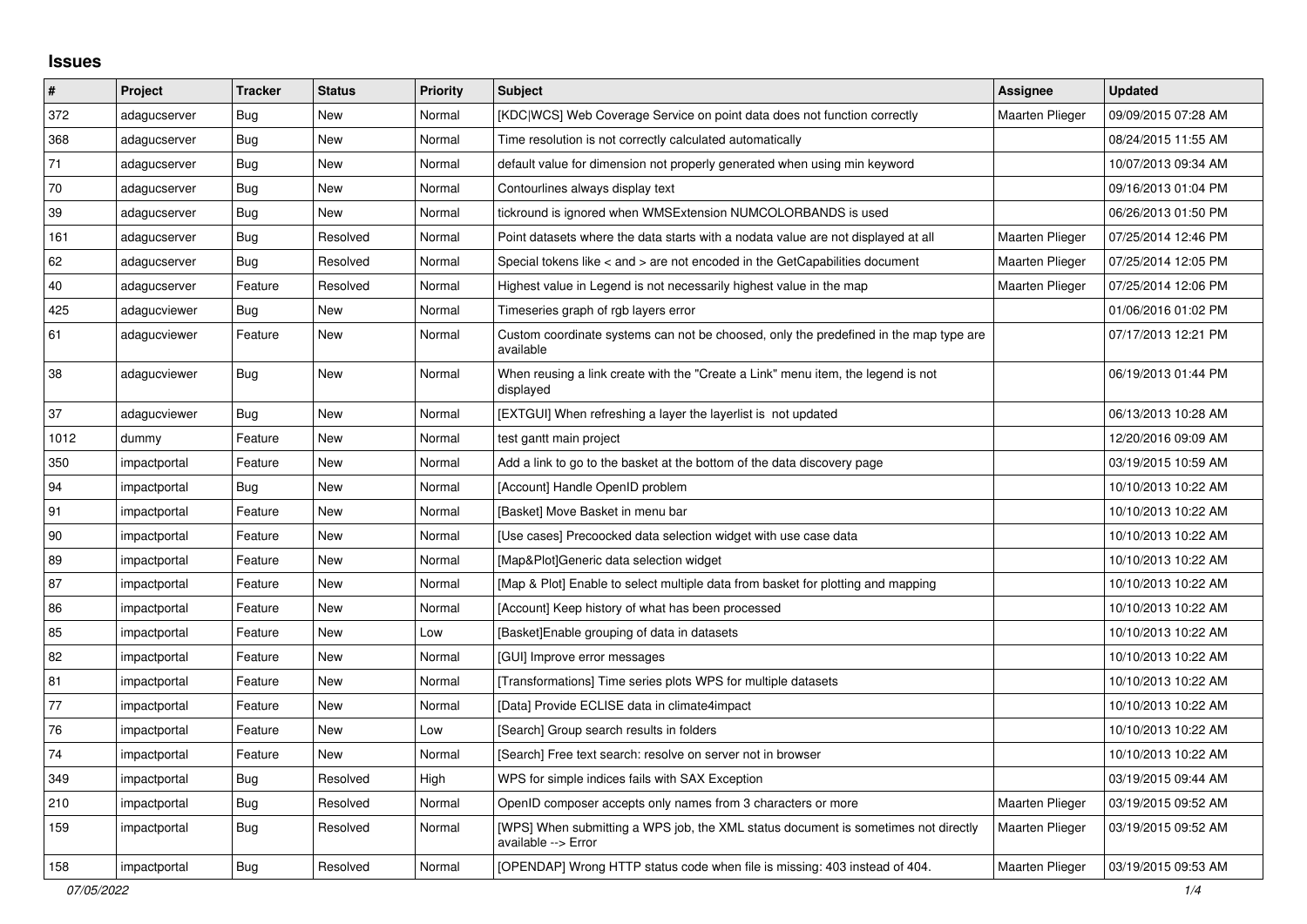## **Issues**

| #    | Project      | <b>Tracker</b> | <b>Status</b> | <b>Priority</b> | <b>Subject</b>                                                                                            | Assignee               | <b>Updated</b>      |
|------|--------------|----------------|---------------|-----------------|-----------------------------------------------------------------------------------------------------------|------------------------|---------------------|
| 372  | adagucserver | <b>Bug</b>     | New           | Normal          | [KDC WCS] Web Coverage Service on point data does not function correctly                                  | <b>Maarten Plieger</b> | 09/09/2015 07:28 AM |
| 368  | adagucserver | Bug            | New           | Normal          | Time resolution is not correctly calculated automatically                                                 |                        | 08/24/2015 11:55 AM |
| 71   | adagucserver | Bug            | New           | Normal          | default value for dimension not properly generated when using min keyword                                 |                        | 10/07/2013 09:34 AM |
| 70   | adagucserver | Bug            | New           | Normal          | Contourlines always display text                                                                          |                        | 09/16/2013 01:04 PM |
| 39   | adagucserver | Bug            | New           | Normal          | tickround is ignored when WMSExtension NUMCOLORBANDS is used                                              |                        | 06/26/2013 01:50 PM |
| 161  | adagucserver | <b>Bug</b>     | Resolved      | Normal          | Point datasets where the data starts with a nodata value are not displayed at all                         | Maarten Plieger        | 07/25/2014 12:46 PM |
| 62   | adagucserver | <b>Bug</b>     | Resolved      | Normal          | Special tokens like < and > are not encoded in the GetCapabilities document                               | <b>Maarten Plieger</b> | 07/25/2014 12:05 PM |
| 40   | adagucserver | Feature        | Resolved      | Normal          | Highest value in Legend is not necessarily highest value in the map                                       | Maarten Plieger        | 07/25/2014 12:06 PM |
| 425  | adagucviewer | Bug            | <b>New</b>    | Normal          | Timeseries graph of rgb layers error                                                                      |                        | 01/06/2016 01:02 PM |
| 61   | adagucviewer | Feature        | New           | Normal          | Custom coordinate systems can not be choosed, only the predefined in the map type are<br>available        |                        | 07/17/2013 12:21 PM |
| 38   | adagucviewer | Bug            | New           | Normal          | When reusing a link create with the "Create a Link" menu item, the legend is not<br>displayed             |                        | 06/19/2013 01:44 PM |
| 37   | adagucviewer | <b>Bug</b>     | <b>New</b>    | Normal          | [EXTGUI] When refreshing a layer the layerlist is not updated                                             |                        | 06/13/2013 10:28 AM |
| 1012 | dummy        | Feature        | New           | Normal          | test gantt main project                                                                                   |                        | 12/20/2016 09:09 AM |
| 350  | impactportal | Feature        | New           | Normal          | Add a link to go to the basket at the bottom of the data discovery page                                   |                        | 03/19/2015 10:59 AM |
| 94   | impactportal | <b>Bug</b>     | New           | Normal          | [Account] Handle OpenID problem                                                                           |                        | 10/10/2013 10:22 AM |
| 91   | impactportal | Feature        | <b>New</b>    | Normal          | [Basket] Move Basket in menu bar                                                                          |                        | 10/10/2013 10:22 AM |
| 90   | impactportal | Feature        | New           | Normal          | [Use cases] Precoocked data selection widget with use case data                                           |                        | 10/10/2013 10:22 AM |
| 89   | impactportal | Feature        | New           | Normal          | [Map&Plot]Generic data selection widget                                                                   |                        | 10/10/2013 10:22 AM |
| 87   | impactportal | Feature        | New           | Normal          | [Map & Plot] Enable to select multiple data from basket for plotting and mapping                          |                        | 10/10/2013 10:22 AM |
| 86   | impactportal | Feature        | New           | Normal          | [Account] Keep history of what has been processed                                                         |                        | 10/10/2013 10:22 AM |
| 85   | impactportal | Feature        | <b>New</b>    | Low             | [Basket] Enable grouping of data in datasets                                                              |                        | 10/10/2013 10:22 AM |
| 82   | impactportal | Feature        | New           | Normal          | [GUI] Improve error messages                                                                              |                        | 10/10/2013 10:22 AM |
| 81   | impactportal | Feature        | New           | Normal          | [Transformations] Time series plots WPS for multiple datasets                                             |                        | 10/10/2013 10:22 AM |
| 77   | impactportal | Feature        | <b>New</b>    | Normal          | [Data] Provide ECLISE data in climate4impact                                                              |                        | 10/10/2013 10:22 AM |
| 76   | impactportal | Feature        | New           | Low             | [Search] Group search results in folders                                                                  |                        | 10/10/2013 10:22 AM |
| 74   | impactportal | Feature        | New           | Normal          | [Search] Free text search: resolve on server not in browser                                               |                        | 10/10/2013 10:22 AM |
| 349  | impactportal | Bug            | Resolved      | High            | WPS for simple indices fails with SAX Exception                                                           |                        | 03/19/2015 09:44 AM |
| 210  | impactportal | Bug            | Resolved      | Normal          | OpenID composer accepts only names from 3 characters or more                                              | <b>Maarten Plieger</b> | 03/19/2015 09:52 AM |
| 159  | impactportal | <b>Bug</b>     | Resolved      | Normal          | [WPS] When submitting a WPS job, the XML status document is sometimes not directly<br>available --> Error | <b>Maarten Plieger</b> | 03/19/2015 09:52 AM |
| 158  | impactportal | <b>Bug</b>     | Resolved      | Normal          | [OPENDAP] Wrong HTTP status code when file is missing: 403 instead of 404.                                | <b>Maarten Plieger</b> | 03/19/2015 09:53 AM |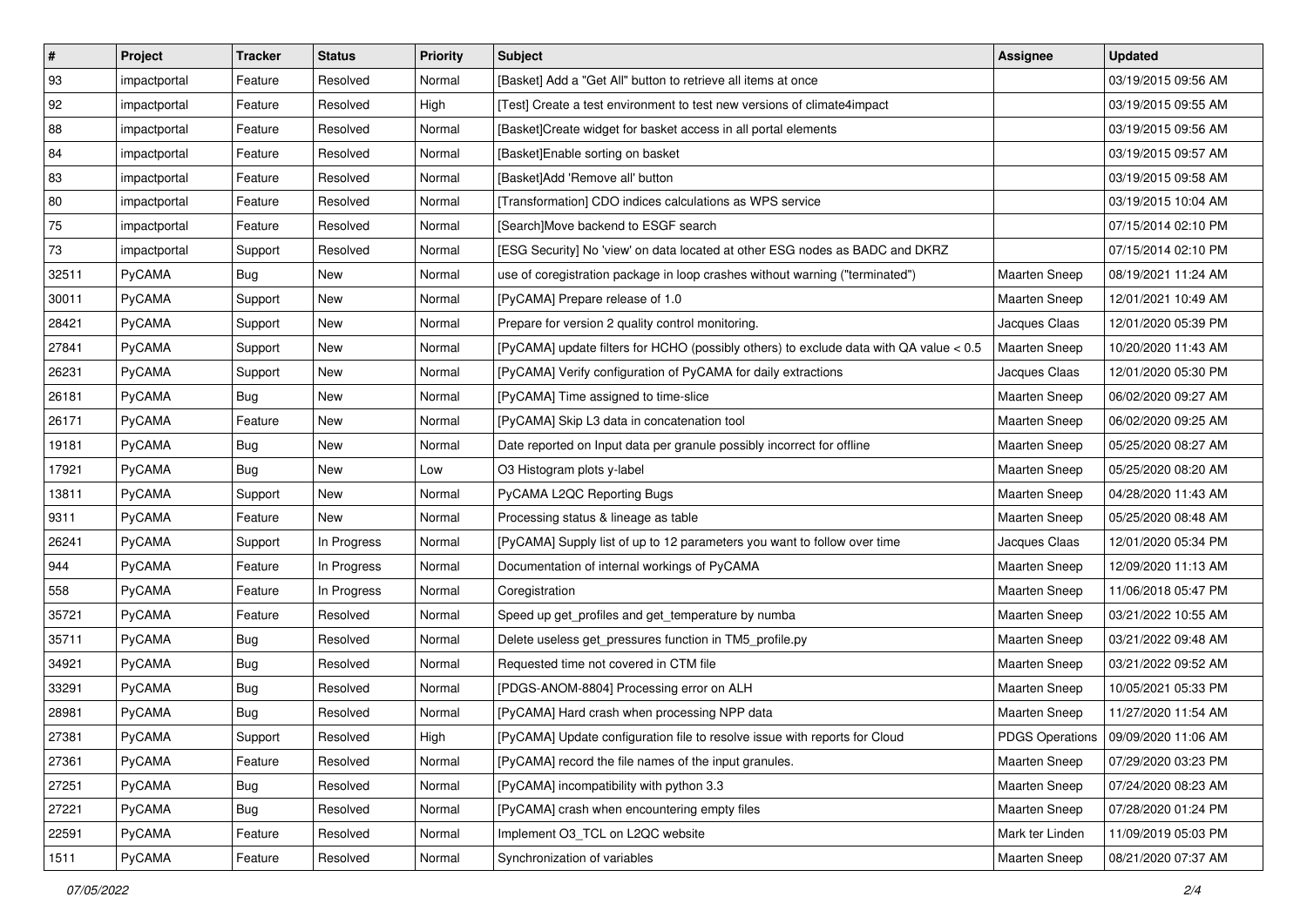| $\sharp$ | Project      | <b>Tracker</b> | <b>Status</b> | <b>Priority</b> | <b>Subject</b>                                                                         | <b>Assignee</b>      | <b>Updated</b>                        |
|----------|--------------|----------------|---------------|-----------------|----------------------------------------------------------------------------------------|----------------------|---------------------------------------|
| 93       | impactportal | Feature        | Resolved      | Normal          | [Basket] Add a "Get All" button to retrieve all items at once                          |                      | 03/19/2015 09:56 AM                   |
| 92       | impactportal | Feature        | Resolved      | High            | [Test] Create a test environment to test new versions of climate4impact                |                      | 03/19/2015 09:55 AM                   |
| 88       | impactportal | Feature        | Resolved      | Normal          | [Basket]Create widget for basket access in all portal elements                         |                      | 03/19/2015 09:56 AM                   |
| 84       | impactportal | Feature        | Resolved      | Normal          | [Basket]Enable sorting on basket                                                       |                      | 03/19/2015 09:57 AM                   |
| 83       | impactportal | Feature        | Resolved      | Normal          | [Basket]Add 'Remove all' button                                                        |                      | 03/19/2015 09:58 AM                   |
| 80       | impactportal | Feature        | Resolved      | Normal          | [Transformation] CDO indices calculations as WPS service                               |                      | 03/19/2015 10:04 AM                   |
| 75       | impactportal | Feature        | Resolved      | Normal          | [Search]Move backend to ESGF search                                                    |                      | 07/15/2014 02:10 PM                   |
| 73       | impactportal | Support        | Resolved      | Normal          | [ESG Security] No 'view' on data located at other ESG nodes as BADC and DKRZ           |                      | 07/15/2014 02:10 PM                   |
| 32511    | PyCAMA       | <b>Bug</b>     | New           | Normal          | use of coregistration package in loop crashes without warning ("terminated")           | Maarten Sneep        | 08/19/2021 11:24 AM                   |
| 30011    | PyCAMA       | Support        | New           | Normal          | [PyCAMA] Prepare release of 1.0                                                        | Maarten Sneep        | 12/01/2021 10:49 AM                   |
| 28421    | PyCAMA       | Support        | New           | Normal          | Prepare for version 2 quality control monitoring.                                      | Jacques Claas        | 12/01/2020 05:39 PM                   |
| 27841    | PyCAMA       | Support        | New           | Normal          | [PyCAMA] update filters for HCHO (possibly others) to exclude data with QA value < 0.5 | <b>Maarten Sneep</b> | 10/20/2020 11:43 AM                   |
| 26231    | PyCAMA       | Support        | New           | Normal          | [PyCAMA] Verify configuration of PyCAMA for daily extractions                          | Jacques Claas        | 12/01/2020 05:30 PM                   |
| 26181    | PyCAMA       | <b>Bug</b>     | New           | Normal          | [PyCAMA] Time assigned to time-slice                                                   | Maarten Sneep        | 06/02/2020 09:27 AM                   |
| 26171    | PyCAMA       | Feature        | New           | Normal          | [PyCAMA] Skip L3 data in concatenation tool                                            | <b>Maarten Sneep</b> | 06/02/2020 09:25 AM                   |
| 19181    | PyCAMA       | Bug            | New           | Normal          | Date reported on Input data per granule possibly incorrect for offline                 | <b>Maarten Sneep</b> | 05/25/2020 08:27 AM                   |
| 17921    | PyCAMA       | Bug            | New           | Low             | O3 Histogram plots y-label                                                             | <b>Maarten Sneep</b> | 05/25/2020 08:20 AM                   |
| 13811    | PyCAMA       | Support        | New           | Normal          | PyCAMA L2QC Reporting Bugs                                                             | <b>Maarten Sneep</b> | 04/28/2020 11:43 AM                   |
| 9311     | PyCAMA       | Feature        | New           | Normal          | Processing status & lineage as table                                                   | <b>Maarten Sneep</b> | 05/25/2020 08:48 AM                   |
| 26241    | PyCAMA       | Support        | In Progress   | Normal          | [PyCAMA] Supply list of up to 12 parameters you want to follow over time               | Jacques Claas        | 12/01/2020 05:34 PM                   |
| 944      | PyCAMA       | Feature        | In Progress   | Normal          | Documentation of internal workings of PyCAMA                                           | <b>Maarten Sneep</b> | 12/09/2020 11:13 AM                   |
| 558      | PyCAMA       | Feature        | In Progress   | Normal          | Coregistration                                                                         | <b>Maarten Sneep</b> | 11/06/2018 05:47 PM                   |
| 35721    | PyCAMA       | Feature        | Resolved      | Normal          | Speed up get_profiles and get_temperature by numba                                     | Maarten Sneep        | 03/21/2022 10:55 AM                   |
| 35711    | PyCAMA       | <b>Bug</b>     | Resolved      | Normal          | Delete useless get_pressures function in TM5_profile.py                                | <b>Maarten Sneep</b> | 03/21/2022 09:48 AM                   |
| 34921    | PyCAMA       | <b>Bug</b>     | Resolved      | Normal          | Requested time not covered in CTM file                                                 | <b>Maarten Sneep</b> | 03/21/2022 09:52 AM                   |
| 33291    | PyCAMA       | Bug            | Resolved      | Normal          | [PDGS-ANOM-8804] Processing error on ALH                                               | <b>Maarten Sneep</b> | 10/05/2021 05:33 PM                   |
| 28981    | PyCAMA       | <b>Bug</b>     | Resolved      | Normal          | [PyCAMA] Hard crash when processing NPP data                                           | <b>Maarten Sneep</b> | 11/27/2020 11:54 AM                   |
| 27381    | PyCAMA       | Support        | Resolved      | High            | [PyCAMA] Update configuration file to resolve issue with reports for Cloud             |                      | PDGS Operations   09/09/2020 11:06 AM |
| 27361    | PyCAMA       | Feature        | Resolved      | Normal          | [PyCAMA] record the file names of the input granules.                                  | <b>Maarten Sneep</b> | 07/29/2020 03:23 PM                   |
| 27251    | PyCAMA       | Bug            | Resolved      | Normal          | [PyCAMA] incompatibility with python 3.3                                               | <b>Maarten Sneep</b> | 07/24/2020 08:23 AM                   |
| 27221    | PyCAMA       | Bug            | Resolved      | Normal          | [PyCAMA] crash when encountering empty files                                           | <b>Maarten Sneep</b> | 07/28/2020 01:24 PM                   |
| 22591    | PyCAMA       | Feature        | Resolved      | Normal          | Implement O3_TCL on L2QC website                                                       | Mark ter Linden      | 11/09/2019 05:03 PM                   |
| 1511     | PyCAMA       | Feature        | Resolved      | Normal          | Synchronization of variables                                                           | Maarten Sneep        | 08/21/2020 07:37 AM                   |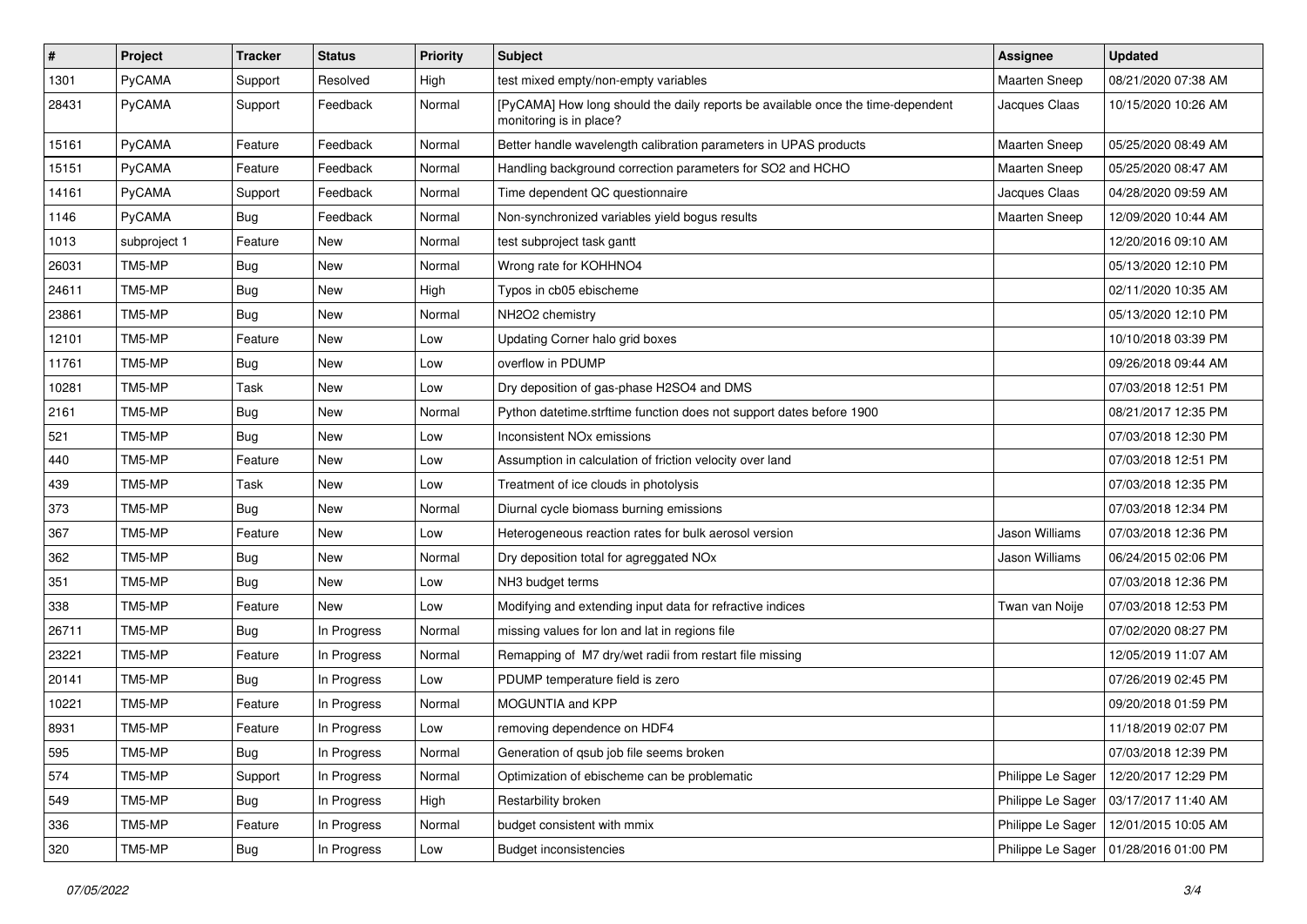| $\pmb{\#}$ | Project      | <b>Tracker</b> | <b>Status</b> | <b>Priority</b> | <b>Subject</b>                                                                                             | Assignee             | <b>Updated</b>                          |
|------------|--------------|----------------|---------------|-----------------|------------------------------------------------------------------------------------------------------------|----------------------|-----------------------------------------|
| 1301       | PyCAMA       | Support        | Resolved      | High            | test mixed empty/non-empty variables                                                                       | <b>Maarten Sneep</b> | 08/21/2020 07:38 AM                     |
| 28431      | PyCAMA       | Support        | Feedback      | Normal          | [PyCAMA] How long should the daily reports be available once the time-dependent<br>monitoring is in place? | Jacques Claas        | 10/15/2020 10:26 AM                     |
| 15161      | PyCAMA       | Feature        | Feedback      | Normal          | Better handle wavelength calibration parameters in UPAS products                                           | Maarten Sneep        | 05/25/2020 08:49 AM                     |
| 15151      | PyCAMA       | Feature        | Feedback      | Normal          | Handling background correction parameters for SO2 and HCHO                                                 | Maarten Sneep        | 05/25/2020 08:47 AM                     |
| 14161      | PyCAMA       | Support        | Feedback      | Normal          | Time dependent QC questionnaire                                                                            | Jacques Claas        | 04/28/2020 09:59 AM                     |
| 1146       | PyCAMA       | <b>Bug</b>     | Feedback      | Normal          | Non-synchronized variables yield bogus results                                                             | Maarten Sneep        | 12/09/2020 10:44 AM                     |
| 1013       | subproject 1 | Feature        | New           | Normal          | test subproject task gantt                                                                                 |                      | 12/20/2016 09:10 AM                     |
| 26031      | TM5-MP       | <b>Bug</b>     | <b>New</b>    | Normal          | Wrong rate for KOHHNO4                                                                                     |                      | 05/13/2020 12:10 PM                     |
| 24611      | TM5-MP       | <b>Bug</b>     | <b>New</b>    | High            | Typos in cb05 ebischeme                                                                                    |                      | 02/11/2020 10:35 AM                     |
| 23861      | TM5-MP       | <b>Bug</b>     | New           | Normal          | NH2O2 chemistry                                                                                            |                      | 05/13/2020 12:10 PM                     |
| 12101      | TM5-MP       | Feature        | New           | Low             | Updating Corner halo grid boxes                                                                            |                      | 10/10/2018 03:39 PM                     |
| 11761      | TM5-MP       | <b>Bug</b>     | New           | Low             | overflow in PDUMP                                                                                          |                      | 09/26/2018 09:44 AM                     |
| 10281      | TM5-MP       | Task           | New           | Low             | Dry deposition of gas-phase H2SO4 and DMS                                                                  |                      | 07/03/2018 12:51 PM                     |
| 2161       | TM5-MP       | <b>Bug</b>     | <b>New</b>    | Normal          | Python datetime.strftime function does not support dates before 1900                                       |                      | 08/21/2017 12:35 PM                     |
| 521        | TM5-MP       | <b>Bug</b>     | <b>New</b>    | Low             | Inconsistent NO <sub>x</sub> emissions                                                                     |                      | 07/03/2018 12:30 PM                     |
| 440        | TM5-MP       | Feature        | New           | Low             | Assumption in calculation of friction velocity over land                                                   |                      | 07/03/2018 12:51 PM                     |
| 439        | TM5-MP       | Task           | <b>New</b>    | Low             | Treatment of ice clouds in photolysis                                                                      |                      | 07/03/2018 12:35 PM                     |
| 373        | TM5-MP       | <b>Bug</b>     | New           | Normal          | Diurnal cycle biomass burning emissions                                                                    |                      | 07/03/2018 12:34 PM                     |
| 367        | TM5-MP       | Feature        | <b>New</b>    | Low             | Heterogeneous reaction rates for bulk aerosol version                                                      | Jason Williams       | 07/03/2018 12:36 PM                     |
| 362        | TM5-MP       | <b>Bug</b>     | New           | Normal          | Dry deposition total for agreggated NOx                                                                    | Jason Williams       | 06/24/2015 02:06 PM                     |
| 351        | TM5-MP       | <b>Bug</b>     | New           | Low             | NH3 budget terms                                                                                           |                      | 07/03/2018 12:36 PM                     |
| 338        | TM5-MP       | Feature        | <b>New</b>    | Low             | Modifying and extending input data for refractive indices                                                  | Twan van Noije       | 07/03/2018 12:53 PM                     |
| 26711      | TM5-MP       | <b>Bug</b>     | In Progress   | Normal          | missing values for lon and lat in regions file                                                             |                      | 07/02/2020 08:27 PM                     |
| 23221      | TM5-MP       | Feature        | In Progress   | Normal          | Remapping of M7 dry/wet radii from restart file missing                                                    |                      | 12/05/2019 11:07 AM                     |
| 20141      | TM5-MP       | <b>Bug</b>     | In Progress   | Low             | PDUMP temperature field is zero                                                                            |                      | 07/26/2019 02:45 PM                     |
| 10221      | TM5-MP       | Feature        | In Progress   | Normal          | MOGUNTIA and KPP                                                                                           |                      | 09/20/2018 01:59 PM                     |
| 8931       | TM5-MP       | Feature        | In Progress   | Low             | removing dependence on HDF4                                                                                |                      | 11/18/2019 02:07 PM                     |
| 595        | TM5-MP       | Bug            | In Progress   | Normal          | Generation of qsub job file seems broken                                                                   |                      | 07/03/2018 12:39 PM                     |
| 574        | TM5-MP       | Support        | In Progress   | Normal          | Optimization of ebischeme can be problematic                                                               | Philippe Le Sager    | 12/20/2017 12:29 PM                     |
| 549        | TM5-MP       | <b>Bug</b>     | In Progress   | High            | Restarbility broken                                                                                        | Philippe Le Sager    | 03/17/2017 11:40 AM                     |
| 336        | TM5-MP       | Feature        | In Progress   | Normal          | budget consistent with mmix                                                                                | Philippe Le Sager    | 12/01/2015 10:05 AM                     |
| 320        | TM5-MP       | <b>Bug</b>     | In Progress   | Low             | <b>Budget inconsistencies</b>                                                                              |                      | Philippe Le Sager   01/28/2016 01:00 PM |